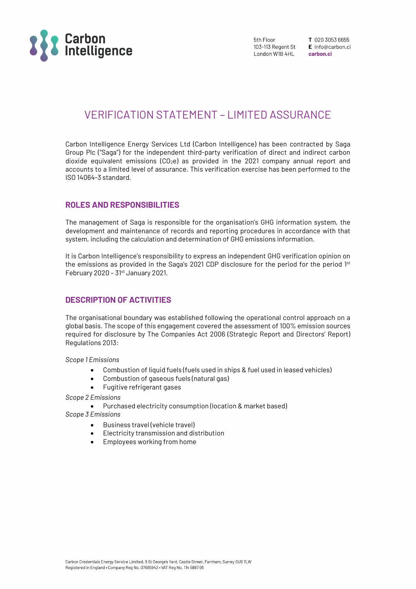

5th Floor 103-113 Regent St London W1B 4HL

T 020 3053 6655 E info@carbon.ci carbon ci

# VERIFICATION STATEMENT – LIMITED ASSURANCE

Carbon Intelligence Energy Services Ltd (Carbon Intelligence) has been contracted by Saga Group Plc ("Saga") for the independent third-party verification of direct and indirect carbon dioxide equivalent emissions  $(CO<sub>2</sub>e)$  as provided in the 2021 company annual report and accounts to a limited level of assurance. This verification exercise has been performed to the ISO 14064-3 standard.

## ROLES AND RESPONSIBILITIES

The management of Saga is responsible for the organisation's GHG information system, the development and maintenance of records and reporting procedures in accordance with that system, including the calculation and determination of GHG emissions information.

It is Carbon Intelligence's responsibility to express an independent GHG verification opinion on the emissions as provided in the Saga's 2021 CDP disclosure for the period for the period 1<sup>st</sup> February 2020 -  $31st$  January 2021.

## DESCRIPTION OF ACTIVITIES

The organisational boundary was established following the operational control approach on a global basis. The scope of this engagement covered the assessment of 100% emission sources required for disclosure by The Companies Act 2006 (Strategic Report and Directors' Report) Regulations 2013:

Scope 1 Emissions

- Combustion of liquid fuels (fuels used in ships & fuel used in leased vehicles)
- Combustion of gaseous fuels (natural gas)
- Fugitive refrigerant gases

Scope 2 Emissions

Purchased electricity consumption (location & market based)

Scope 3 Emissions

- Business travel (vehicle travel)
- Electricity transmission and distribution
- Employees working from home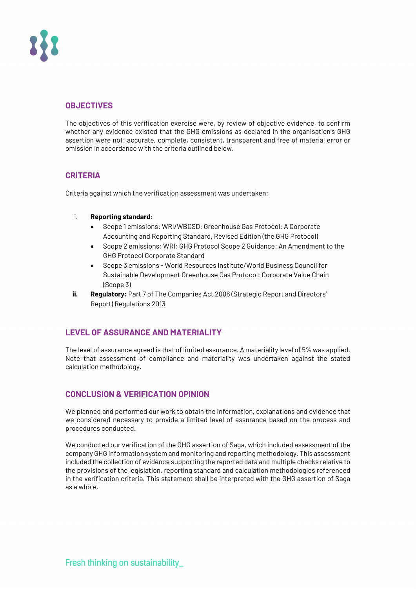

# **OBJECTIVES**

The objectives of this verification exercise were, by review of objective evidence, to confirm whether any evidence existed that the GHG emissions as declared in the organisation's GHG assertion were not: accurate, complete, consistent, transparent and free of material error or omission in accordance with the criteria outlined below.

### **CRITERIA**

Criteria against which the verification assessment was undertaken:

#### i. Reporting standard:

- Scope 1 emissions: WRI/WBCSD: Greenhouse Gas Protocol: A Corporate Accounting and Reporting Standard, Revised Edition (the GHG Protocol)
- Scope 2 emissions: WRI: GHG Protocol Scope 2 Guidance: An Amendment to the GHG Protocol Corporate Standard
- Scope 3 emissions World Resources Institute/World Business Council for Sustainable Development Greenhouse Gas Protocol: Corporate Value Chain (Scope 3)
- ii. Regulatory: Part 7 of The Companies Act 2006 (Strategic Report and Directors' Report) Regulations 2013

# LEVEL OF ASSURANCE AND MATERIALITY

The level of assurance agreed is that of limited assurance. A materiality level of 5% was applied. Note that assessment of compliance and materiality was undertaken against the stated calculation methodology.

# CONCLUSION & VERIFICATION OPINION

We planned and performed our work to obtain the information, explanations and evidence that we considered necessary to provide a limited level of assurance based on the process and procedures conducted.

We conducted our verification of the GHG assertion of Saga, which included assessment of the company GHG information system and monitoring and reporting methodology. This assessment included the collection of evidence supporting the reported data and multiple checks relative to the provisions of the legislation, reporting standard and calculation methodologies referenced in the verification criteria. This statement shall be interpreted with the GHG assertion of Saga as a whole.